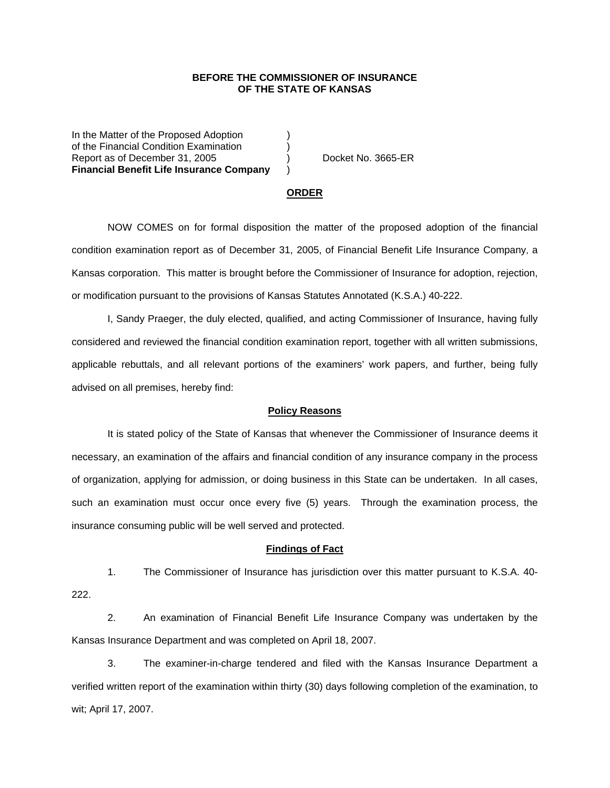## **BEFORE THE COMMISSIONER OF INSURANCE OF THE STATE OF KANSAS**

In the Matter of the Proposed Adoption of the Financial Condition Examination ) Report as of December 31, 2005 (and Contact Area Docket No. 3665-ER **Financial Benefit Life Insurance Company** )

#### **ORDER**

 NOW COMES on for formal disposition the matter of the proposed adoption of the financial condition examination report as of December 31, 2005, of Financial Benefit Life Insurance Company, a Kansas corporation. This matter is brought before the Commissioner of Insurance for adoption, rejection, or modification pursuant to the provisions of Kansas Statutes Annotated (K.S.A.) 40-222.

 I, Sandy Praeger, the duly elected, qualified, and acting Commissioner of Insurance, having fully considered and reviewed the financial condition examination report, together with all written submissions, applicable rebuttals, and all relevant portions of the examiners' work papers, and further, being fully advised on all premises, hereby find:

### **Policy Reasons**

 It is stated policy of the State of Kansas that whenever the Commissioner of Insurance deems it necessary, an examination of the affairs and financial condition of any insurance company in the process of organization, applying for admission, or doing business in this State can be undertaken. In all cases, such an examination must occur once every five (5) years. Through the examination process, the insurance consuming public will be well served and protected.

#### **Findings of Fact**

 1. The Commissioner of Insurance has jurisdiction over this matter pursuant to K.S.A. 40- 222.

 2. An examination of Financial Benefit Life Insurance Company was undertaken by the Kansas Insurance Department and was completed on April 18, 2007.

 3. The examiner-in-charge tendered and filed with the Kansas Insurance Department a verified written report of the examination within thirty (30) days following completion of the examination, to wit; April 17, 2007.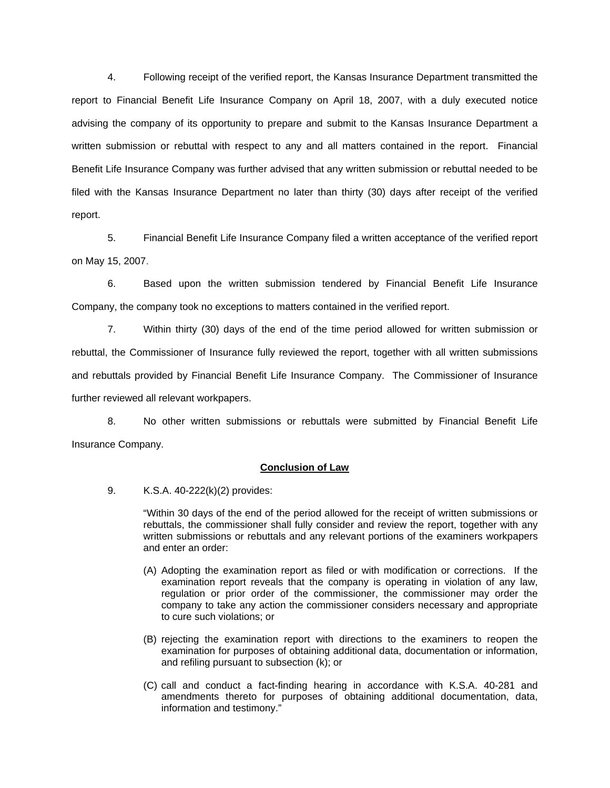4. Following receipt of the verified report, the Kansas Insurance Department transmitted the report to Financial Benefit Life Insurance Company on April 18, 2007, with a duly executed notice advising the company of its opportunity to prepare and submit to the Kansas Insurance Department a written submission or rebuttal with respect to any and all matters contained in the report. Financial Benefit Life Insurance Company was further advised that any written submission or rebuttal needed to be filed with the Kansas Insurance Department no later than thirty (30) days after receipt of the verified report.

 5. Financial Benefit Life Insurance Company filed a written acceptance of the verified report on May 15, 2007.

6. Based upon the written submission tendered by Financial Benefit Life Insurance Company, the company took no exceptions to matters contained in the verified report.

 7. Within thirty (30) days of the end of the time period allowed for written submission or rebuttal, the Commissioner of Insurance fully reviewed the report, together with all written submissions and rebuttals provided by Financial Benefit Life Insurance Company. The Commissioner of Insurance further reviewed all relevant workpapers.

 8. No other written submissions or rebuttals were submitted by Financial Benefit Life Insurance Company.

## **Conclusion of Law**

9. K.S.A. 40-222(k)(2) provides:

"Within 30 days of the end of the period allowed for the receipt of written submissions or rebuttals, the commissioner shall fully consider and review the report, together with any written submissions or rebuttals and any relevant portions of the examiners workpapers and enter an order:

- (A) Adopting the examination report as filed or with modification or corrections. If the examination report reveals that the company is operating in violation of any law, regulation or prior order of the commissioner, the commissioner may order the company to take any action the commissioner considers necessary and appropriate to cure such violations; or
- (B) rejecting the examination report with directions to the examiners to reopen the examination for purposes of obtaining additional data, documentation or information, and refiling pursuant to subsection (k); or
- (C) call and conduct a fact-finding hearing in accordance with K.S.A. 40-281 and amendments thereto for purposes of obtaining additional documentation, data, information and testimony."